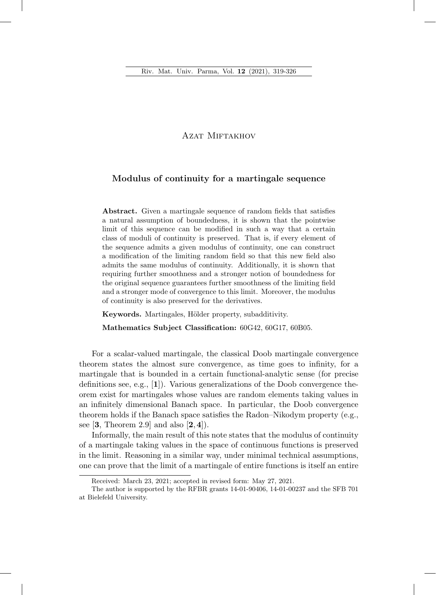## AZAT MIFTAKHOV

## Modulus of continuity for a martingale sequence

Abstract. Given a martingale sequence of random fields that satisfies a natural assumption of boundedness, it is shown that the pointwise limit of this sequence can be modified in such a way that a certain class of moduli of continuity is preserved. That is, if every element of the sequence admits a given modulus of continuity, one can construct a modification of the limiting random field so that this new field also admits the same modulus of continuity. Additionally, it is shown that requiring further smoothness and a stronger notion of boundedness for the original sequence guarantees further smoothness of the limiting field and a stronger mode of convergence to this limit. Moreover, the modulus of continuity is also preserved for the derivatives.

Keywords. Martingales, Hölder property, subadditivity.

Mathematics Subject Classification:  $60G42, 60G17, 60B05$ .

For a scalar-valued martingale, the classical Doob martingale convergence theorem states the almost sure convergence, as time goes to infinity, for a martingale that is bounded in a certain functional-analytic sense (for precise definitions see, e.g.,  $[1]$ ). Various generalizations of the Doob convergence theorem exist for martingales whose values are random elements taking values in an infinitely dimensional Banach space. In particular, the Doob convergence theorem holds if the Banach space satisfies the Radon–Nikodym property (e.g., see  $[3,$  Theorem 2.9 and also  $[2,4]$ .

Informally, the main result of this note states that the modulus of continuity of a martingale taking values in the space of continuous functions is preserved in the limit. Reasoning in a similar way, under minimal technical assumptions, one can prove that the limit of a martingale of entire functions is itself an entire

Received: March 23, 2021; accepted in revised form: May 27, 2021.

The author is supported by the RFBR grants 14-01-90406, 14-01-00237 and the SFB 701 at Bielefeld University.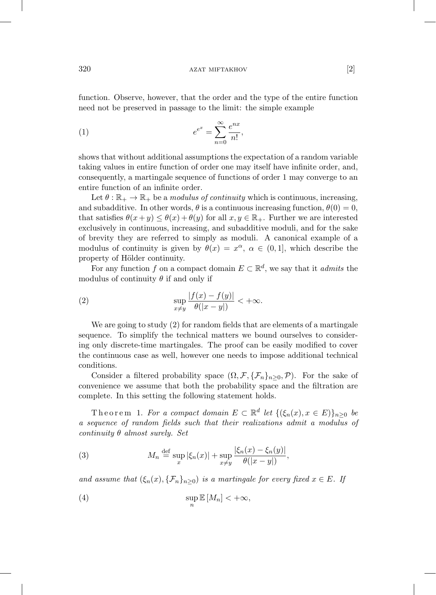function. Observe, however, that the order and the type of the entire function need not be preserved in passage to the limit: the simple example

$$
(1) \qquad \qquad e^{e^x} = \sum_{n=0}^{\infty} \frac{e^{nx}}{n!},
$$

shows that without additional assumptions the expectation of a random variable taking values in entire function of order one may itself have infinite order, and, consequently, a martingale sequence of functions of order 1 may converge to an entire function of an infinite order.

Let  $\theta : \mathbb{R}_+ \to \mathbb{R}_+$  be a modulus of continuity which is continuous, increasing, and subadditive. In other words,  $\theta$  is a continuous increasing function,  $\theta(0) = 0$ , that satisfies  $\theta(x+y) \leq \theta(x) + \theta(y)$  for all  $x, y \in \mathbb{R}_+$ . Further we are interested exclusively in continuous, increasing, and subadditive moduli, and for the sake of brevity they are referred to simply as moduli. A canonical example of a modulus of continuity is given by  $\theta(x) = x^{\alpha}, \alpha \in (0,1]$ , which describe the property of Hölder continuity.

For any function f on a compact domain  $E \subset \mathbb{R}^d$ , we say that it *admits* the modulus of continuity  $\theta$  if and only if

(2) 
$$
\sup_{x \neq y} \frac{|f(x) - f(y)|}{\theta(|x - y|)} < +\infty.
$$

We are going to study (2) for random fields that are elements of a martingale sequence. To simplify the technical matters we bound ourselves to considering only discrete-time martingales. The proof can be easily modified to cover the continuous case as well, however one needs to impose additional technical conditions.

Consider a filtered probability space  $(\Omega, \mathcal{F}, \{\mathcal{F}_n\}_{n>0}, \mathcal{P})$ . For the sake of convenience we assume that both the probability space and the filtration are complete. In this setting the following statement holds.

Theorem 1. For a compact domain  $E \subset \mathbb{R}^d$  let  $\{(\xi_n(x), x \in E)\}_{n>0}$  be a sequence of random fields such that their realizations admit a modulus of continuity  $\theta$  almost surely. Set

(3) 
$$
M_n \stackrel{\text{def}}{=} \sup_x |\xi_n(x)| + \sup_{x \neq y} \frac{|\xi_n(x) - \xi_n(y)|}{\theta(|x - y|)},
$$

and assume that  $(\xi_n(x), \{\mathcal{F}_n\}_{n\geq 0})$  is a martingale for every fixed  $x \in E$ . If

(4) 
$$
\sup_n \mathbb{E}[M_n] < +\infty,
$$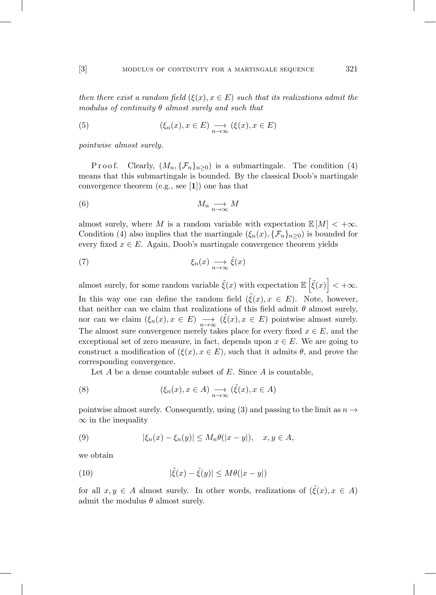then there exist a random field  $(\xi(x), x \in E)$  such that its realizations admit the modulus of continuity  $\theta$  almost surely and such that

(5) 
$$
(\xi_n(x), x \in E) \underset{n \to \infty}{\longrightarrow} (\xi(x), x \in E)
$$

pointwise almost surely.

P r o o f. Clearly,  $(M_n, \{F_n\}_{n>0})$  is a submartingale. The condition (4) means that this submartingale is bounded. By the classical Doob's martingale convergence theorem (e.g., see [1]) one has that

$$
(6) \t M_n \underset{n \to \infty}{\longrightarrow} M
$$

almost surely, where M is a random variable with expectation  $\mathbb{E}[M] < +\infty$ . Condition (4) also implies that the martingale  $(\xi_n(x), {\mathcal{F}_n}\}_{n>0})$  is bounded for every fixed  $x \in E$ . Again, Doob's martingale convergence theorem yields

(7) 
$$
\xi_n(x) \underset{n \to \infty}{\longrightarrow} \tilde{\xi}(x)
$$

almost surely, for some random variable  $\tilde{\xi}(x)$  with expectation  $\mathbb{E}\left[\tilde{\xi}(x)\right] < +\infty$ . In this way one can define the random field  $(\tilde{\xi}(x), x \in E)$ . Note, however, that neither can we claim that realizations of this field admit  $\theta$  almost surely, nor can we claim  $(\xi_n(x), x \in E) \longrightarrow_{n \to \infty} (\tilde{\xi}(x), x \in E)$  pointwise almost surely. The almost sure convergence merely takes place for every fixed  $x \in E$ , and the exceptional set of zero measure, in fact, depends upon  $x \in E$ . We are going to construct a modification of  $(\xi(x), x \in E)$ , such that it admits  $\theta$ , and prove the corresponding convergence.

Let  $A$  be a dense countable subset of  $E$ . Since  $A$  is countable,

(8) 
$$
(\xi_n(x), x \in A) \underset{n \to \infty}{\longrightarrow} (\tilde{\xi}(x), x \in A)
$$

pointwise almost surely. Consequently, using (3) and passing to the limit as  $n \rightarrow$  $\infty$  in the inequality

(9) 
$$
|\xi_n(x) - \xi_n(y)| \leq M_n \theta(|x - y|), \quad x, y \in A,
$$

we obtain

(10) 
$$
|\tilde{\xi}(x) - \tilde{\xi}(y)| \le M\theta(|x - y|)
$$

for all  $x, y \in A$  almost surely. In other words, realizations of  $(\tilde{\xi}(x), x \in A)$ admit the modulus  $\theta$  almost surely.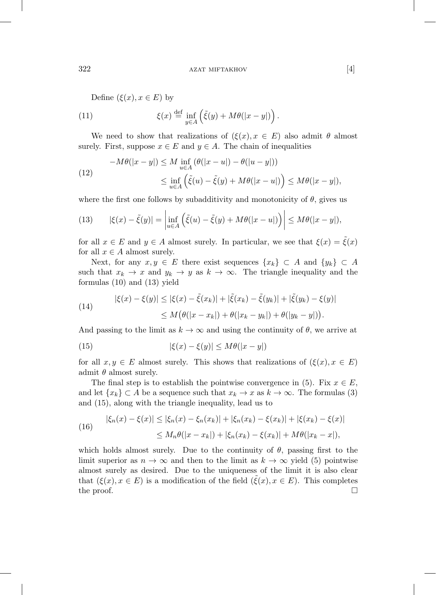Define  $(\xi(x), x \in E)$  by

(11) 
$$
\xi(x) \stackrel{\text{def}}{=} \inf_{y \in A} \left( \tilde{\xi}(y) + M\theta(|x - y|) \right).
$$

We need to show that realizations of  $(\xi(x), x \in E)$  also admit  $\theta$  almost surely. First, suppose  $x \in E$  and  $y \in A$ . The chain of inequalities

$$
-M\theta(|x-y|) \le M \inf_{u \in A} (\theta(|x-u|) - \theta(|u-y|))
$$
  
(12)  

$$
\le \inf_{u \in A} (\tilde{\xi}(u) - \tilde{\xi}(y) + M\theta(|x-u|)) \le M\theta(|x-y|),
$$

where the first one follows by subadditivity and monotonicity of  $\theta$ , gives us

(13) 
$$
|\xi(x) - \tilde{\xi}(y)| = \left| \inf_{u \in A} \left( \tilde{\xi}(u) - \tilde{\xi}(y) + M\theta(|x - u|) \right) \right| \le M\theta(|x - y|),
$$

for all  $x \in E$  and  $y \in A$  almost surely. In particular, we see that  $\xi(x) = \tilde{\xi}(x)$ for all  $x \in A$  almost surely.

Next, for any  $x, y \in E$  there exist sequences  $\{x_k\} \subset A$  and  $\{y_k\} \subset A$ such that  $x_k \to x$  and  $y_k \to y$  as  $k \to \infty$ . The triangle inequality and the formulas (10) and (13) yield

(14) 
$$
|\xi(x) - \xi(y)| \le |\xi(x) - \tilde{\xi}(x_k)| + |\tilde{\xi}(x_k) - \tilde{\xi}(y_k)| + |\tilde{\xi}(y_k) - \xi(y)|
$$

$$
\le M(\theta(|x - x_k|) + \theta(|x_k - y_k|) + \theta(|y_k - y|)).
$$

And passing to the limit as  $k \to \infty$  and using the continuity of  $\theta$ , we arrive at

(15) 
$$
|\xi(x) - \xi(y)| \le M\theta(|x - y|)
$$

for all  $x, y \in E$  almost surely. This shows that realizations of  $(\xi(x), x \in E)$ admit  $\theta$  almost surely.

The final step is to establish the pointwise convergence in (5). Fix  $x \in E$ , and let  $\{x_k\} \subset A$  be a sequence such that  $x_k \to x$  as  $k \to \infty$ . The formulas (3) and (15), along with the triangle inequality, lead us to

(16) 
$$
|\xi_n(x) - \xi(x)| \le |\xi_n(x) - \xi_n(x_k)| + |\xi_n(x_k) - \xi(x_k)| + |\xi(x_k) - \xi(x)|
$$

$$
\le M_n \theta(|x - x_k|) + |\xi_n(x_k) - \xi(x_k)| + M\theta(|x_k - x|),
$$

which holds almost surely. Due to the continuity of  $\theta$ , passing first to the limit superior as  $n \to \infty$  and then to the limit as  $k \to \infty$  yield (5) pointwise almost surely as desired. Due to the uniqueness of the limit it is also clear that  $(\xi(x), x \in E)$  is a modification of the field  $(\xi(x), x \in E)$ . This completes the proof. the proof.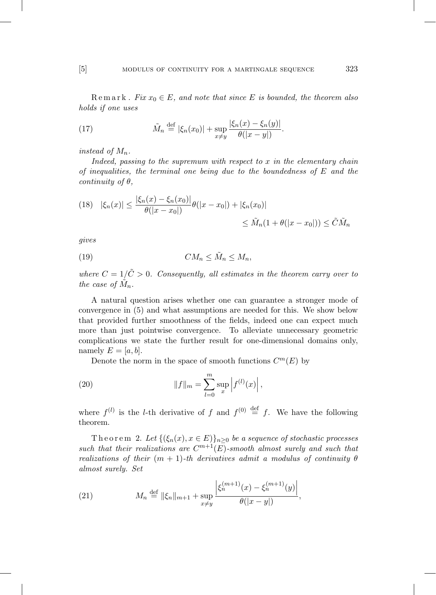Remark. Fix  $x_0 \in E$ , and note that since E is bounded, the theorem also holds if one uses

(17) 
$$
\tilde{M}_n \stackrel{\text{def}}{=} |\xi_n(x_0)| + \sup_{x \neq y} \frac{|\xi_n(x) - \xi_n(y)|}{\theta(|x - y|)}.
$$

instead of  $M_n$ .

Indeed, passing to the supremum with respect to  $x$  in the elementary chain of inequalities, the terminal one being due to the boundedness of  $E$  and the continuity of  $\theta$ .

(18) 
$$
|\xi_n(x)| \le \frac{|\xi_n(x) - \xi_n(x_0)|}{\theta(|x - x_0|)} \theta(|x - x_0|) + |\xi_n(x_0)|
$$
  
 $\le \tilde{M}_n(1 + \theta(|x - x_0|)) \le \tilde{C}\tilde{M}_n$ 

gives

$$
(19) \t\t CM_n \leq \tilde{M}_n \leq M_n,
$$

where  $C = 1/\tilde{C} > 0$ . Consequently, all estimates in the theorem carry over to the case of  $M_n$ .

A natural question arises whether one can guarantee a stronger mode of convergence in (5) and what assumptions are needed for this. We show below that provided further smoothness of the fields, indeed one can expect much more than just pointwise convergence. To alleviate unnecessary geometric complications we state the further result for one-dimensional domains only, namely  $E = [a, b]$ .

Denote the norm in the space of smooth functions  $C^m(E)$  by

(20) 
$$
||f||_{m} = \sum_{l=0}^{m} \sup_{x} |f^{(l)}(x)|,
$$

where  $f^{(l)}$  is the *l*-th derivative of f and  $f^{(0)} \stackrel{\text{def}}{=} f$ . We have the following theorem.

Theorem 2. Let  $\{(\xi_n(x), x \in E)\}_{n\geq 0}$  be a sequence of stochastic processes such that their realizations are  $C^{m+1}(E)$ -smooth almost surely and such that realizations of their  $(m + 1)$ -th derivatives admit a modulus of continuity  $\theta$ almost surely. Set

(21) 
$$
M_n \stackrel{\text{def}}{=} \|\xi_n\|_{m+1} + \sup_{x \neq y} \frac{\left|\xi_n^{(m+1)}(x) - \xi_n^{(m+1)}(y)\right|}{\theta(|x - y|)},
$$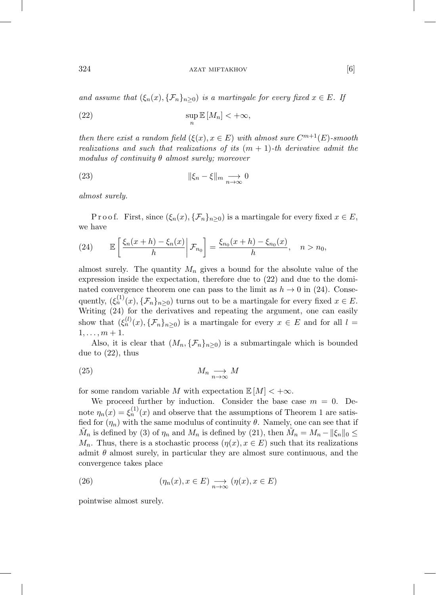324 **azat miftakhov** [6]

and assume that  $(\xi_n(x), \{\mathcal{F}_n\}_{n\geq 0})$  is a martingale for every fixed  $x \in E$ . If

(22) 
$$
\sup_n \mathbb{E}[M_n] < +\infty,
$$

then there exist a random field  $(\xi(x), x \in E)$  with almost sure  $C^{m+1}(E)$ -smooth realizations and such that realizations of its  $(m + 1)$ -th derivative admit the modulus of continuity  $\theta$  almost surely; moreover

(23) 
$$
\|\xi_n - \xi\|_m \underset{n \to \infty}{\longrightarrow} 0
$$

almost surely.

P r o o f. First, since  $(\xi_n(x), {\{\mathcal{F}_n\}}_{n>0})$  is a martingale for every fixed  $x \in E$ , we have

(24) 
$$
\mathbb{E}\left[\frac{\xi_n(x+h)-\xi_n(x)}{h}\bigg|\mathcal{F}_{n_0}\right]=\frac{\xi_{n_0}(x+h)-\xi_{n_0}(x)}{h}, \quad n>n_0,
$$

almost surely. The quantity  $M_n$  gives a bound for the absolute value of the expression inside the expectation, therefore due to (22) and due to the dominated convergence theorem one can pass to the limit as  $h \to 0$  in (24). Consequently,  $(\xi_n^{(1)}(x), \{\mathcal{F}_n\}_{n\geq 0})$  turns out to be a martingale for every fixed  $x \in E$ . Writing (24) for the derivatives and repeating the argument, one can easily show that  $(\xi_n^{(l)}(x), \{\mathcal{F}_n\}_{n\geq 0})$  is a martingale for every  $x \in E$  and for all  $l =$  $1, \ldots, m + 1.$ 

Also, it is clear that  $(M_n, \{F_n\}_{n\geq 0})$  is a submartingale which is bounded due to (22), thus

$$
(25) \t\t M_n \underset{n \to \infty}{\longrightarrow} M
$$

for some random variable M with expectation  $\mathbb{E}[M] < +\infty$ .

We proceed further by induction. Consider the base case  $m = 0$ . Denote  $\eta_n(x) = \xi_n^{(1)}(x)$  and observe that the assumptions of Theorem 1 are satisfied for  $(\eta_n)$  with the same modulus of continuity  $\theta$ . Namely, one can see that if  $\tilde{M}_n$  is defined by (3) of  $\eta_n$  and  $M_n$  is defined by (21), then  $\tilde{M}_n = M_n - ||\xi_n||_0 \leq$  $M_n$ . Thus, there is a stochastic process  $(\eta(x), x \in E)$  such that its realizations admit  $\theta$  almost surely, in particular they are almost sure continuous, and the convergence takes place

(26) 
$$
(\eta_n(x), x \in E) \longrightarrow_{n \to \infty} (\eta(x), x \in E)
$$

pointwise almost surely.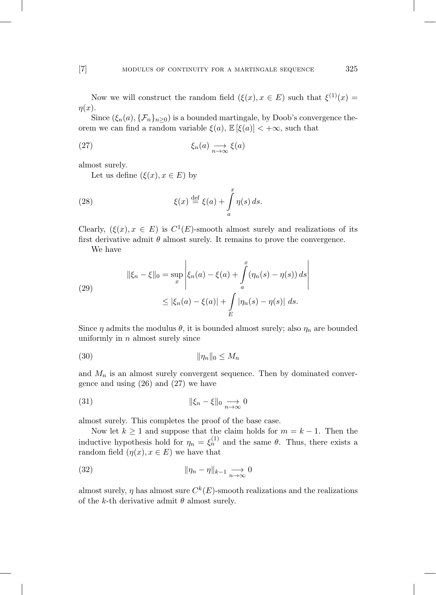Now we will construct the random field  $(\xi(x), x \in E)$  such that  $\xi^{(1)}(x) =$  $\eta(x)$ .

Since  $(\xi_n(a), \{\mathcal{F}_n\}_{n\geq 0})$  is a bounded martingale, by Doob's convergence theorem we can find a random variable  $\xi(a)$ ,  $\mathbb{E}[\xi(a)] < +\infty$ , such that

(27) 
$$
\xi_n(a) \underset{n \to \infty}{\longrightarrow} \xi(a)
$$

almost surely.

Let us define  $(\xi(x), x \in E)$  by

(28) 
$$
\xi(x) \stackrel{\text{def}}{=} \xi(a) + \int_a^x \eta(s) \, ds.
$$

Clearly,  $(\xi(x), x \in E)$  is  $C^1(E)$ -smooth almost surely and realizations of its first derivative admit  $\theta$  almost surely. It remains to prove the convergence.

We have

(29)  

$$
\|\xi_n - \xi\|_0 = \sup_x \left| \xi_n(a) - \xi(a) + \int_a^x (\eta_n(s) - \eta(s)) ds \right|
$$

$$
\leq |\xi_n(a) - \xi(a)| + \int_E |\eta_n(s) - \eta(s)| ds.
$$

Since  $\eta$  admits the modulus  $\theta$ , it is bounded almost surely; also  $\eta_n$  are bounded uniformly in  $n$  almost surely since

$$
\|\eta_n\|_0 \le M_n
$$

and  $M_n$  is an almost surely convergent sequence. Then by dominated convergence and using  $(26)$  and  $(27)$  we have

(31) 
$$
\|\xi_n - \xi\|_0 \underset{n \to \infty}{\longrightarrow} 0
$$

almost surely. This completes the proof of the base case.

Now let  $k \geq 1$  and suppose that the claim holds for  $m = k - 1$ . Then the inductive hypothesis hold for  $\eta_n = \xi_n^{(1)}$  and the same  $\theta$ . Thus, there exists a random field  $(\eta(x), x \in E)$  we have that

(32) 
$$
\|\eta_n - \eta\|_{k-1} \underset{n \to \infty}{\longrightarrow} 0
$$

almost surely,  $\eta$  has almost sure  $C^k(E)$ -smooth realizations and the realizations of the k-th derivative admit  $\theta$  almost surely.